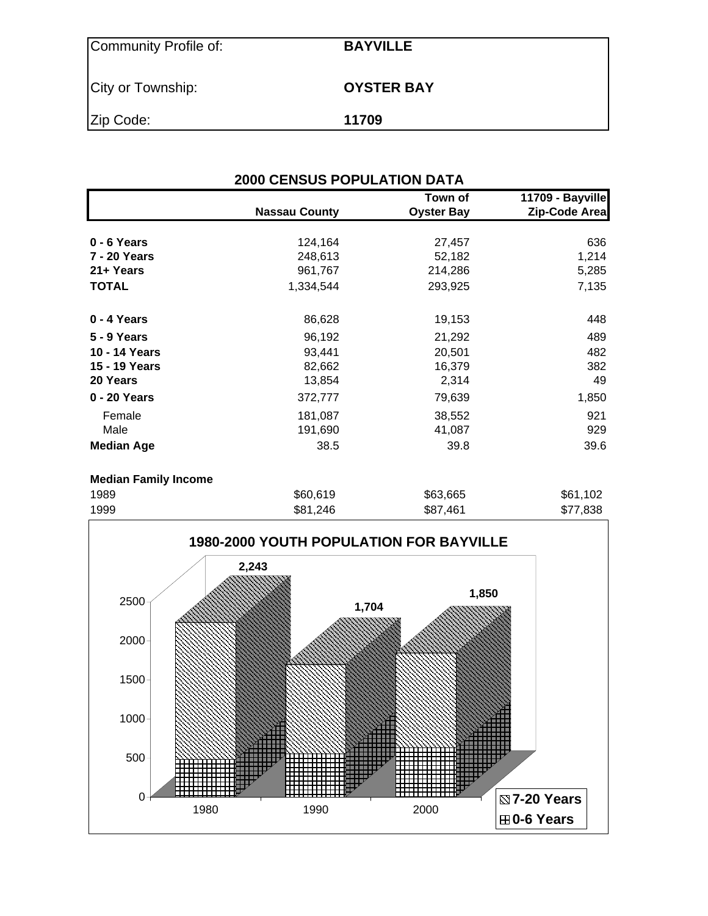| Community Profile of: | <b>BAYVILLE</b>   |
|-----------------------|-------------------|
| City or Township:     | <b>OYSTER BAY</b> |
| Zip Code:             | 11709             |

| <b>2000 CENSUS POPULATION DATA</b> |                      |                              |                                   |  |  |  |  |  |
|------------------------------------|----------------------|------------------------------|-----------------------------------|--|--|--|--|--|
|                                    | <b>Nassau County</b> | Town of<br><b>Oyster Bay</b> | 11709 - Bayville<br>Zip-Code Area |  |  |  |  |  |
| $0 - 6$ Years                      | 124,164              | 27,457                       | 636                               |  |  |  |  |  |
| 7 - 20 Years                       | 248,613              | 52,182                       | 1,214                             |  |  |  |  |  |
| 21+ Years                          | 961,767              | 214,286                      | 5,285                             |  |  |  |  |  |
| <b>TOTAL</b>                       | 1,334,544            | 293,925                      | 7,135                             |  |  |  |  |  |
| 0 - 4 Years                        | 86,628               | 19,153                       | 448                               |  |  |  |  |  |
| 5 - 9 Years                        | 96,192               | 21,292                       | 489                               |  |  |  |  |  |
| 10 - 14 Years                      | 93,441               | 20,501                       | 482                               |  |  |  |  |  |
| 15 - 19 Years                      | 82,662               | 16,379                       | 382                               |  |  |  |  |  |
| 20 Years                           | 13,854               | 2,314                        | 49                                |  |  |  |  |  |
| 0 - 20 Years                       | 372,777              | 79,639                       | 1,850                             |  |  |  |  |  |
| Female                             | 181,087              | 38,552                       | 921                               |  |  |  |  |  |
| Male                               | 191,690              | 41,087                       | 929                               |  |  |  |  |  |
| <b>Median Age</b>                  | 38.5                 | 39.8                         | 39.6                              |  |  |  |  |  |
| <b>Median Family Income</b>        |                      |                              |                                   |  |  |  |  |  |
| 1989                               | \$60,619             | \$63,665                     | \$61,102                          |  |  |  |  |  |

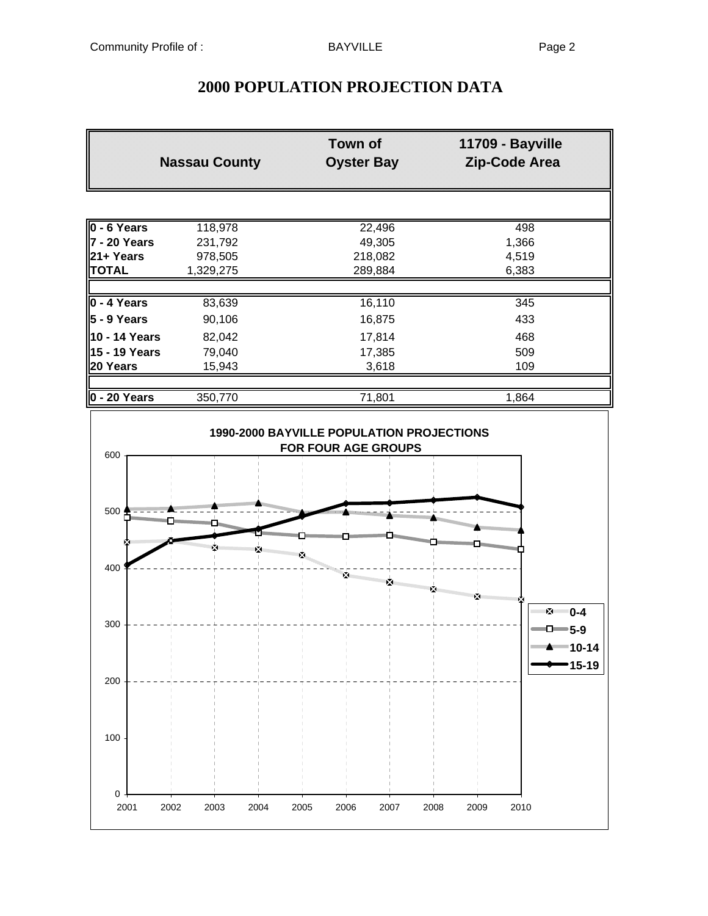# **2000 POPULATION PROJECTION DATA**

|                | <b>Nassau County</b> | <b>Town of</b><br><b>Oyster Bay</b> | 11709 - Bayville<br>Zip-Code Area |
|----------------|----------------------|-------------------------------------|-----------------------------------|
|                |                      |                                     |                                   |
| $0 - 6$ Years  | 118,978              | 22,496                              | 498                               |
| l7 - 20 Years  | 231,792              | 49,305                              | 1,366                             |
| l21+ Years     | 978,505              | 218,082                             | 4,519                             |
| <b>TOTAL</b>   | 1,329,275            | 289,884                             | 6,383                             |
| 0 - 4 Years    | 83,639               | 16,110                              | 345                               |
| $5 - 9$ Years  | 90,106               | 16,875                              | 433                               |
| 10 - 14 Years  | 82,042               | 17,814                              | 468                               |
| 15 - 19 Years  | 79,040               | 17,385                              | 509                               |
| 20 Years       | 15,943               | 3,618                               | 109                               |
| $0 - 20$ Years | 350,770              | 71,801                              | 1,864                             |
|                |                      |                                     |                                   |

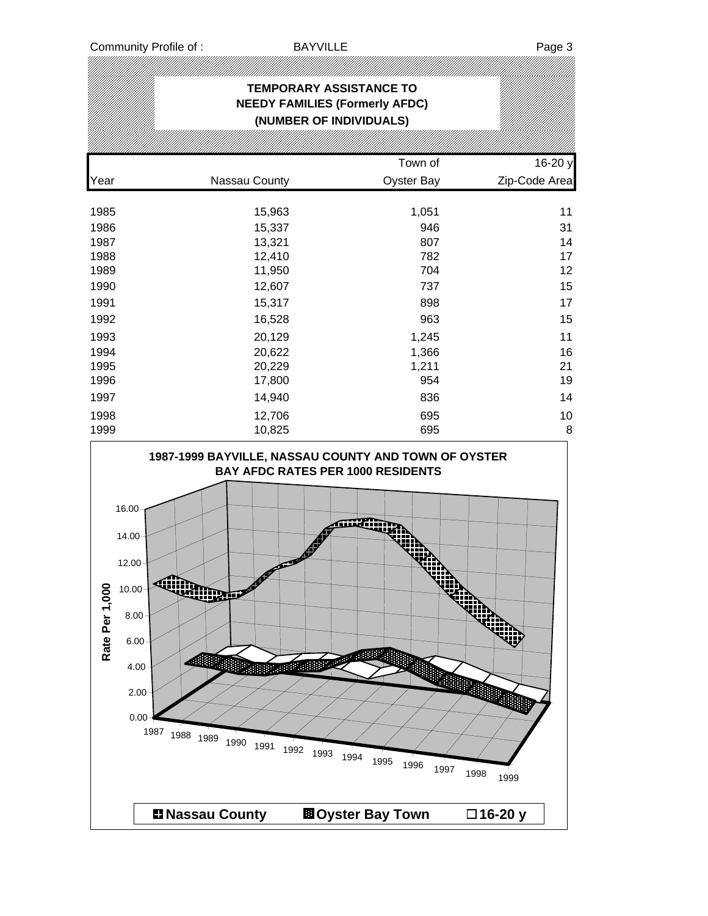## **TEMPORARY ASSISTANCE TO NEEDY FAMILIES (Formerly AFDC) (NUMBER OF INDIVIDUALS)** Town of 16-20 y Year **Nassau County County** Oyster Bay **Zip-Code Area** 1985 15,963 1,051 11 1986 15,337 946 31 1987 13,321 807 14 1988 12,410 782 17 1989 11,950 704 12 1990 12,607 737 15 1991 15,317 898 17 1992 16,528 963 15 1993 20,129 1,245 11 1994 20,622 1,366 16 1995 20,229 1,211 21 1996 17,800 954 19 1997 14,940 836 14 1998 12,706 695 10 1999 10,825 695 8

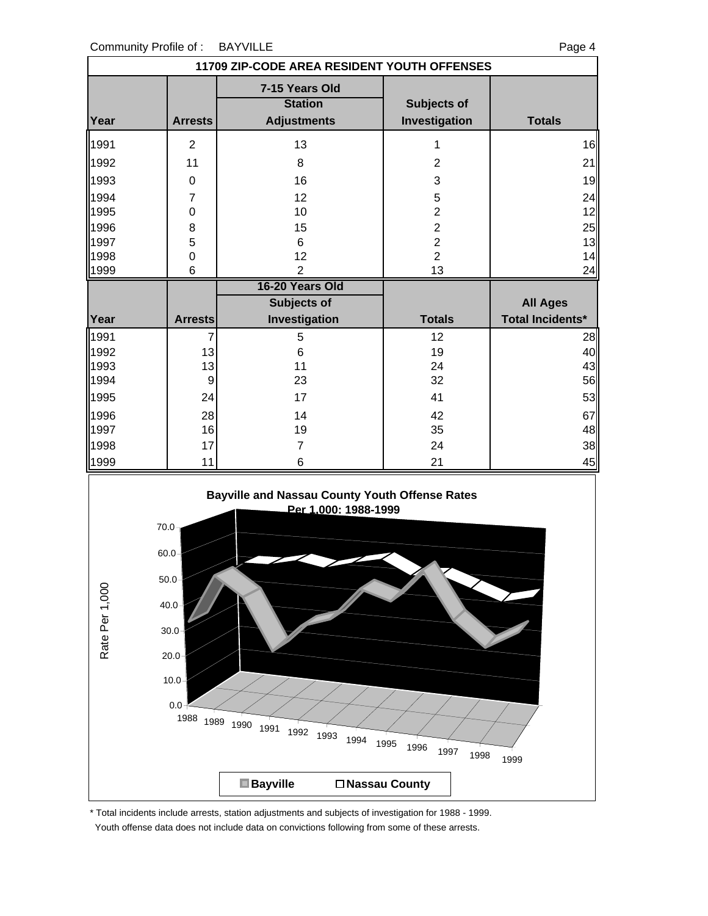|      |                  | 11709 ZIP-CODE AREA RESIDENT YOUTH OFFENSES            |                              |                         |
|------|------------------|--------------------------------------------------------|------------------------------|-------------------------|
| Year | <b>Arrests</b>   | 7-15 Years Old<br><b>Station</b><br><b>Adjustments</b> | Subjects of<br>Investigation | <b>Totals</b>           |
| 1991 | $\overline{2}$   | 13                                                     | 1                            | 16                      |
| 1992 | 11               | 8                                                      | $\overline{2}$               | 21                      |
| 1993 | 0                | 16                                                     | 3                            | 19                      |
| 1994 | $\overline{7}$   | 12                                                     | 5                            | 24                      |
| 1995 | $\mathbf 0$      | 10                                                     | $\overline{2}$               | 12                      |
| 1996 | 8                | 15                                                     | $\overline{c}$               | 25                      |
| 1997 | 5                | 6                                                      | $\overline{c}$               | 13                      |
| 1998 | $\mathbf 0$      | 12                                                     | $\overline{2}$               | 14                      |
| 1999 | 6                | $\overline{2}$                                         | 13                           | 24                      |
|      |                  | 16-20 Years Old                                        |                              |                         |
|      |                  |                                                        |                              |                         |
|      |                  | <b>Subjects of</b>                                     |                              | <b>All Ages</b>         |
| Year | <b>Arrests</b>   | Investigation                                          | <b>Totals</b>                | <b>Total Incidents*</b> |
| 1991 | 7                | 5                                                      | 12                           | 28                      |
| 1992 | 13               | 6                                                      | 19                           | 40                      |
| 1993 | 13               | 11                                                     | 24                           | 43                      |
| 1994 | $\boldsymbol{9}$ | 23                                                     | 32                           | 56                      |
| 1995 | 24               | 17                                                     | 41                           |                         |
| 1996 | 28               | 14                                                     | 42                           | 67                      |
| 1997 | 16               | 19                                                     | 35                           | 53<br>48                |
| 1998 | 17               | 7                                                      | 24                           | 38                      |
| 1999 | 11               | 6                                                      | 21                           | 45                      |



\* Total incidents include arrests, station adjustments and subjects of investigation for 1988 - 1999.

Youth offense data does not include data on convictions following from some of these arrests.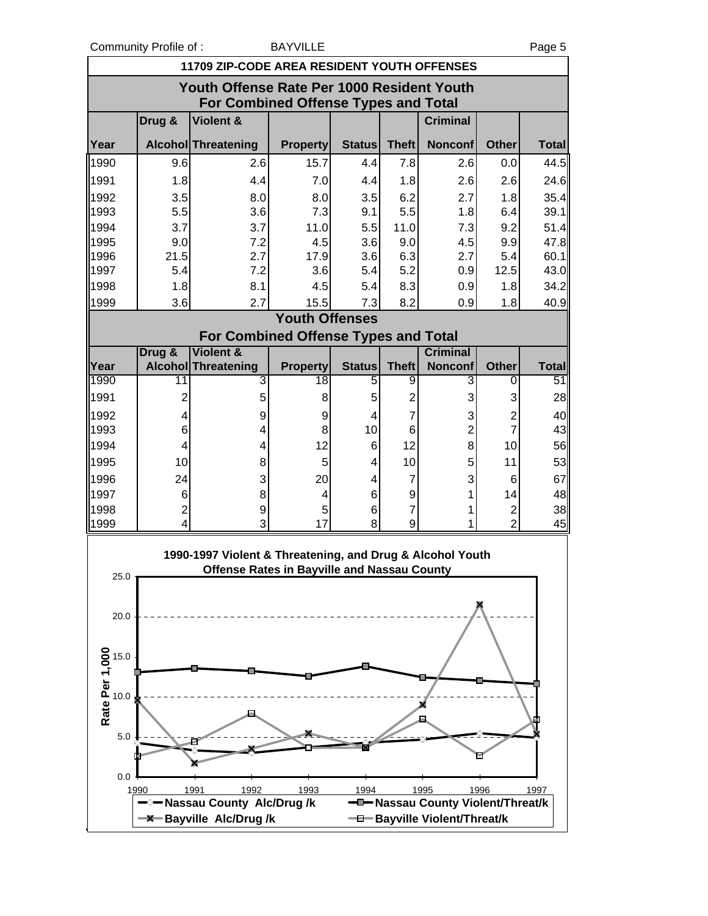Community Profile of : BAYVILLE Page 5

ville

|                                       |                         | <b>11709 ZIP-CODE AREA RESIDENT YOUTH OFFENSES</b>                                                              |                       |               |                |                                   |                |              |
|---------------------------------------|-------------------------|-----------------------------------------------------------------------------------------------------------------|-----------------------|---------------|----------------|-----------------------------------|----------------|--------------|
|                                       |                         | Youth Offense Rate Per 1000 Resident Youth                                                                      |                       |               |                |                                   |                |              |
|                                       |                         | <b>For Combined Offense Types and Total</b>                                                                     |                       |               |                |                                   |                |              |
|                                       | Drug &                  | Violent &                                                                                                       |                       |               |                | <b>Criminal</b>                   |                |              |
| Year                                  |                         | Alcohol Threatening                                                                                             | <b>Property</b>       | Status        | <b>Theft</b>   | <b>Nonconf</b>                    | <b>Other</b>   | <b>Total</b> |
| 1990                                  | 9.6                     | 2.6                                                                                                             | 15.7                  | 4.4           | 7.8            | 2.6                               | 0.0            | 44.5         |
| 1991                                  | 1.8                     | 4.4                                                                                                             | 7.0                   | 4.4           | 1.8            | 2.6                               | 2.6            | 24.6         |
| 1992                                  | 3.5                     | 8.0                                                                                                             | 8.0                   | 3.5           | 6.2            | 2.7                               | 1.8            | 35.4         |
| 1993                                  | 5.5                     | 3.6                                                                                                             | 7.3                   | 9.1           | 5.5            | 1.8                               | 6.4            | 39.1         |
| 1994                                  | 3.7                     | 3.7                                                                                                             | 11.0                  | 5.5           | 11.0           | 7.3                               | 9.2            | 51.4         |
| 1995                                  | 9.0                     | 7.2                                                                                                             | 4.5                   | 3.6           | 9.0            | 4.5                               | 9.9            | 47.8         |
| 1996                                  | 21.5                    | 2.7                                                                                                             | 17.9                  | 3.6           | 6.3            | 2.7                               | 5.4            | 60.1         |
| 1997                                  | 5.4                     | 7.2                                                                                                             | 3.6                   | 5.4           | 5.2            | 0.9                               | 12.5           | 43.0         |
| 1998                                  | 1.8                     | 8.1                                                                                                             | 4.5                   | 5.4           | 8.3            | 0.9                               | 1.8            | 34.2         |
| 1999                                  | 3.6                     | 2.7                                                                                                             | 15.5                  | 7.3           | 8.2            | 0.9                               | 1.8            | 40.9         |
|                                       |                         |                                                                                                                 | <b>Youth Offenses</b> |               |                |                                   |                |              |
|                                       |                         | For Combined Offense Types and Total                                                                            |                       |               |                |                                   |                |              |
|                                       | Drug &                  | <b>Violent &amp;</b>                                                                                            |                       |               |                | <b>Criminal</b>                   |                |              |
| Year                                  |                         | <b>Alcohol</b> Threatening                                                                                      | <b>Property</b>       | <b>Status</b> | <b>Theft</b>   | <b>Nonconf</b>                    | <b>Other</b>   | <b>Total</b> |
| 1990                                  | $\overline{11}$         | 3                                                                                                               | 18                    | 5             | 9              | 3                                 | 0              | 51           |
| 1991                                  | $\overline{2}$          | 5                                                                                                               | 8                     | 5             | $\overline{2}$ | 3                                 | 3              | 28           |
| 1992                                  | 4                       | 9                                                                                                               | 9                     | 4             | 7              | 3                                 | $\overline{c}$ | 40           |
| 1993                                  | 6                       | 4                                                                                                               | 8                     | 10            | 6              | $\overline{c}$                    | $\overline{7}$ | 43           |
| 1994                                  | 4                       | 4                                                                                                               | 12                    | 6             | 12             | 8                                 | 10             | 56           |
| 1995                                  | 10                      | 8                                                                                                               | 5                     | 4             | 10             | 5                                 | 11             | 53           |
| 1996                                  | 24                      | 3                                                                                                               | 20                    | 4             | $\overline{7}$ | 3                                 | 6              | 67           |
| 1997                                  | 6                       | 8                                                                                                               | 4                     | 6             | 9              | 1                                 | 14             | 48           |
| 1998                                  | $\overline{\mathbf{c}}$ | 9                                                                                                               | 5                     | 6             | $\overline{7}$ | 1                                 | 2              | 38           |
| 1999                                  | $\overline{\mathbf{4}}$ | 3                                                                                                               | 17                    | 8             | 9              | 1                                 | $\overline{2}$ | 45           |
| 25.0                                  |                         | 1990-1997 Violent & Threatening, and Drug & Alcohol Youth<br><b>Offense Rates in Bayville and Nassau County</b> |                       |               |                |                                   |                |              |
| 20.0                                  |                         |                                                                                                                 |                       |               |                |                                   |                |              |
|                                       |                         |                                                                                                                 |                       |               |                |                                   |                |              |
| Rate Per 1,000<br>15.0<br>10.0<br>5.0 |                         |                                                                                                                 |                       |               |                |                                   |                |              |
| 0.0                                   |                         |                                                                                                                 |                       |               |                |                                   |                |              |
|                                       | 1990                    | 1991<br>1992                                                                                                    | 1993                  | 1994          |                | 1995                              | 1996           | 1997         |
|                                       |                         | -Nassau County Alc/Drug/k                                                                                       |                       |               |                | -D-Nassau County Violent/Threat/k |                |              |
|                                       |                         | <b>-X-Bayville Alc/Drug/k</b>                                                                                   |                       |               |                | -0-Bayville Violent/Threat/k      |                |              |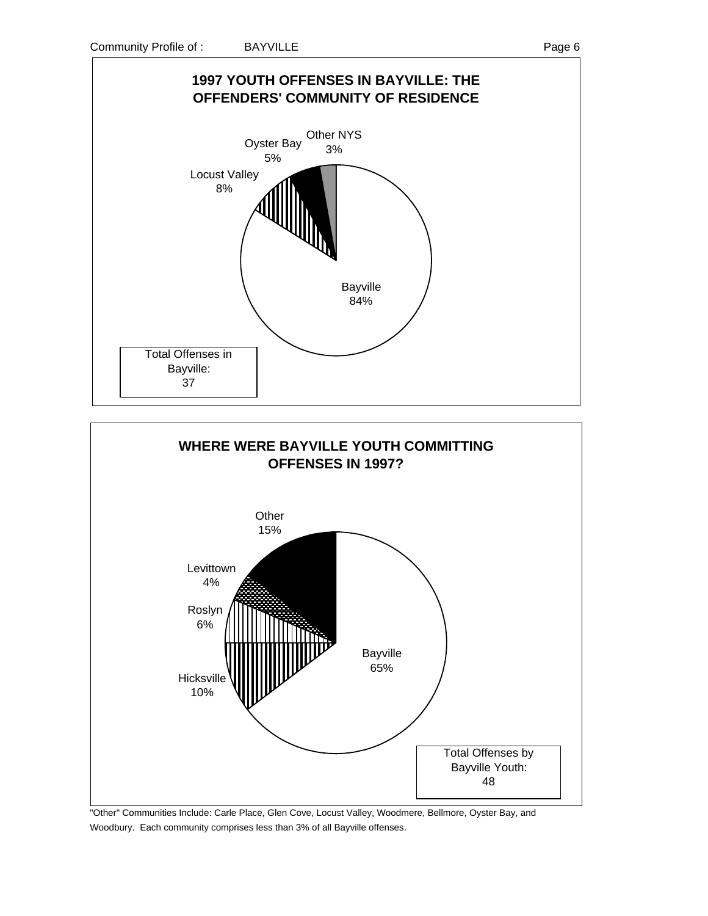





"Other" Communities Include: Carle Place, Glen Cove, Locust Valley, Woodmere, Bellmore, Oyster Bay, and Woodbury. Each community comprises less than 3% of all Bayville offenses.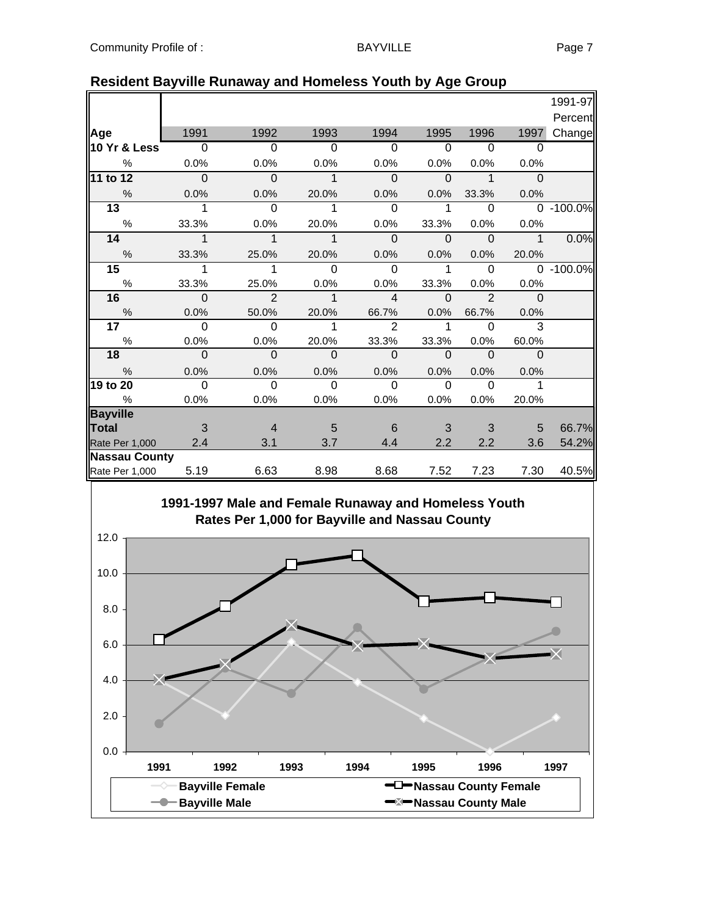|                      |                |                |             |                |          |                |              | 1991-97   |
|----------------------|----------------|----------------|-------------|----------------|----------|----------------|--------------|-----------|
|                      |                |                |             |                |          |                |              | Percent   |
| Age                  | 1991           | 1992           | 1993        | 1994           | 1995     | 1996           | 1997         | Change    |
| 10 Yr & Less         | $\overline{0}$ | $\Omega$       | $\Omega$    | $\Omega$       | $\Omega$ | 0              | $\Omega$     |           |
| %                    | 0.0%           | 0.0%           | 0.0%        | 0.0%           | 0.0%     | 0.0%           | 0.0%         |           |
| 11 to 12             | $\Omega$       | $\mathbf{0}$   | $\mathbf 1$ | $\Omega$       | $\Omega$ | 1              | $\Omega$     |           |
| $\frac{0}{0}$        | 0.0%           | 0.0%           | 20.0%       | 0.0%           | 0.0%     | 33.3%          | 0.0%         |           |
| $\overline{13}$      | 1              | $\Omega$       | 1           | $\Omega$       | 1        | $\Omega$       | $\Omega$     | $-100.0%$ |
| $\%$                 | 33.3%          | 0.0%           | 20.0%       | 0.0%           | 33.3%    | 0.0%           | 0.0%         |           |
| 14                   | $\mathbf 1$    | $\mathbf{1}$   | 1           | $\Omega$       | $\Omega$ | $\Omega$       | $\mathbf{1}$ | 0.0%      |
| $\frac{0}{0}$        | 33.3%          | 25.0%          | 20.0%       | 0.0%           | 0.0%     | 0.0%           | 20.0%        |           |
| 15                   | 1              | 1              | 0           | $\Omega$       |          | $\Omega$       | $\Omega$     | $-100.0%$ |
| $\%$                 | 33.3%          | 25.0%          | 0.0%        | 0.0%           | 33.3%    | 0.0%           | 0.0%         |           |
| 16                   | $\Omega$       | $\overline{2}$ | 1           | $\overline{4}$ | $\Omega$ | $\mathfrak{p}$ | $\Omega$     |           |
| $\%$                 | 0.0%           | 50.0%          | 20.0%       | 66.7%          | 0.0%     | 66.7%          | 0.0%         |           |
| 17                   | $\Omega$       | $\Omega$       | 1           | $\mathcal{P}$  | 1        | $\Omega$       | 3            |           |
| $\%$                 | 0.0%           | 0.0%           | 20.0%       | 33.3%          | 33.3%    | 0.0%           | 60.0%        |           |
| 18                   | $\Omega$       | $\Omega$       | $\Omega$    | $\Omega$       | $\Omega$ | $\Omega$       | $\Omega$     |           |
| $\frac{0}{0}$        | 0.0%           | 0.0%           | 0.0%        | 0.0%           | 0.0%     | 0.0%           | 0.0%         |           |
| 19 to 20             | $\Omega$       | $\Omega$       | $\Omega$    | $\Omega$       | $\Omega$ | $\Omega$       |              |           |
| $\frac{0}{0}$        | 0.0%           | 0.0%           | 0.0%        | 0.0%           | 0.0%     | 0.0%           | 20.0%        |           |
| <b>Bayville</b>      |                |                |             |                |          |                |              |           |
| Total                | 3              | $\overline{4}$ | 5           | 6              | 3        | 3              | 5            | 66.7%     |
| Rate Per 1,000       | 2.4            | 3.1            | 3.7         | 4.4            | 2.2      | 2.2            | 3.6          | 54.2%     |
| <b>Nassau County</b> |                |                |             |                |          |                |              |           |
| Rate Per 1,000       | 5.19           | 6.63           | 8.98        | 8.68           | 7.52     | 7.23           | 7.30         | 40.5%     |

#### **Resident Bayville Runaway and Homeless Youth by Age Group**

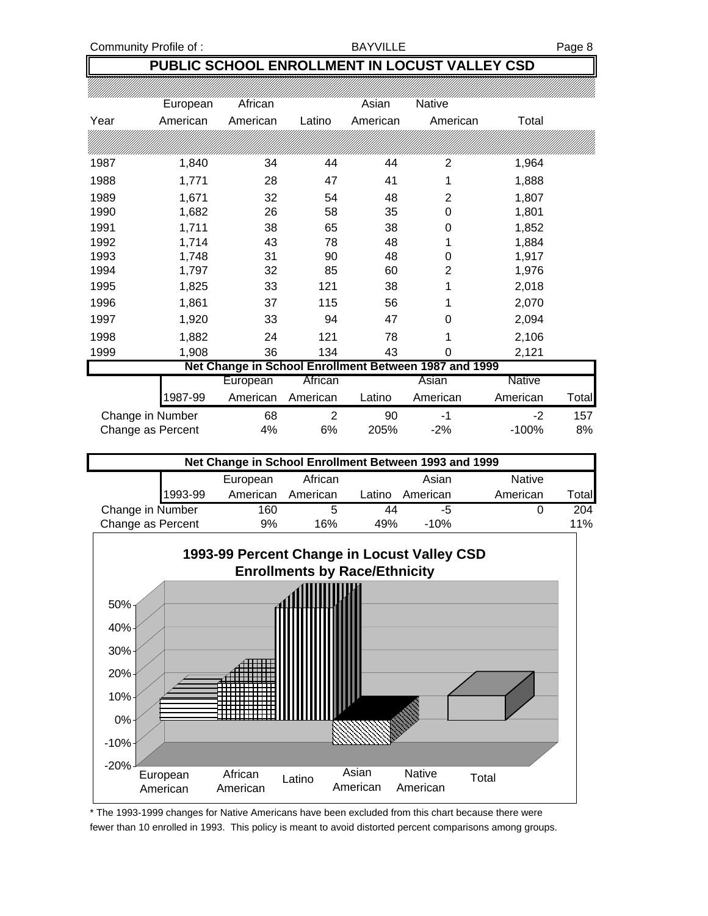Community Profile of : BAYVILLE BAYVILLE

### **PUBLIC SCHOOL ENROLLMENT IN LOCUST VALLEY CSD**

|      | European          | African  |                | Asian    | Native                                                |               |       |
|------|-------------------|----------|----------------|----------|-------------------------------------------------------|---------------|-------|
| Year | American          | American | Latino         | American | American                                              | Total         |       |
|      |                   |          |                |          |                                                       |               |       |
| 1987 | 1,840             | 34       | 44             | 44       | 2                                                     | 1,964         |       |
| 1988 | 1,771             | 28       | 47             | 41       | 1                                                     | 1,888         |       |
| 1989 | 1,671             | 32       | 54             | 48       | $\overline{2}$                                        | 1,807         |       |
| 1990 | 1,682             | 26       | 58             | 35       | 0                                                     | 1,801         |       |
| 1991 | 1,711             | 38       | 65             | 38       | 0                                                     | 1,852         |       |
| 1992 | 1,714             | 43       | 78             | 48       | 1                                                     | 1,884         |       |
| 1993 | 1,748             | 31       | 90             | 48       | 0                                                     | 1,917         |       |
| 1994 | 1,797             | 32       | 85             | 60       | 2                                                     | 1,976         |       |
| 1995 | 1,825             | 33       | 121            | 38       | 1                                                     | 2,018         |       |
| 1996 | 1,861             | 37       | 115            | 56       | 1                                                     | 2,070         |       |
| 1997 | 1,920             | 33       | 94             | 47       | 0                                                     | 2,094         |       |
| 1998 | 1,882             | 24       | 121            | 78       | 1                                                     | 2,106         |       |
| 1999 | 1,908             | 36       | 134            | 43       | 0                                                     | 2,121         |       |
|      |                   |          |                |          | Net Change in School Enrollment Between 1987 and 1999 |               |       |
|      |                   | European | African        |          | Asian                                                 | <b>Native</b> |       |
|      | 1987-99           | American | American       | Latino   | American                                              | American      | Total |
|      | Change in Number  | 68       | $\overline{2}$ | 90       | -1                                                    | $-2$          | 157   |
|      | Change as Percent | 4%       | 6%             | 205%     | $-2%$                                                 | $-100%$       | 8%    |





\* The 1993-1999 changes for Native Americans have been excluded from this chart because there were fewer than 10 enrolled in 1993. This policy is meant to avoid distorted percent comparisons among groups.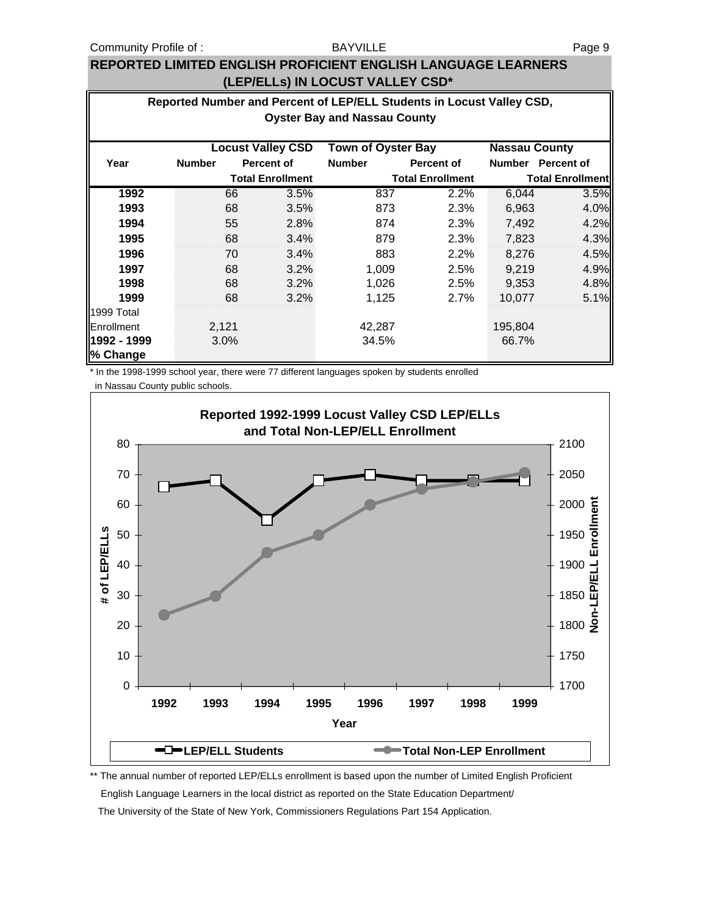#### BAYVILLE

#### **REPORTED LIMITED ENGLISH PROFICIENT ENGLISH LANGUAGE LEARNERS (LEP/ELLs) IN LOCUST VALLEY CSD\***

|                         | Reported Number and Percent of LEP/ELL Students in Locust Valley CSD,         |       |                         |               |                         |                         |                   |  |  |
|-------------------------|-------------------------------------------------------------------------------|-------|-------------------------|---------------|-------------------------|-------------------------|-------------------|--|--|
|                         | <b>Oyster Bay and Nassau County</b>                                           |       |                         |               |                         |                         |                   |  |  |
|                         | <b>Town of Oyster Bay</b><br><b>Locust Valley CSD</b><br><b>Nassau County</b> |       |                         |               |                         |                         |                   |  |  |
| Year                    | <b>Number</b>                                                                 |       | <b>Percent of</b>       | <b>Number</b> | <b>Percent of</b>       | <b>Number</b>           | <b>Percent of</b> |  |  |
|                         |                                                                               |       | <b>Total Enrollment</b> |               | <b>Total Enrollment</b> | <b>Total Enrollment</b> |                   |  |  |
| 1992                    |                                                                               | 66    | 3.5%                    | 837           | 2.2%                    | 6,044                   | 3.5%              |  |  |
| 1993                    |                                                                               | 68    | 3.5%                    | 873           | 2.3%                    | 6,963                   | 4.0%              |  |  |
| 1994                    |                                                                               | 55    | 2.8%                    | 874           | 2.3%                    | 7,492                   | 4.2%              |  |  |
| 1995                    |                                                                               | 68    | 3.4%                    | 879           | 2.3%                    | 7,823                   | 4.3%              |  |  |
| 1996                    |                                                                               | 70    | 3.4%                    | 883           | 2.2%                    | 8,276                   | 4.5%              |  |  |
| 1997                    |                                                                               | 68    | 3.2%                    | 1,009         | 2.5%                    | 9.219                   | 4.9%              |  |  |
| 1998                    |                                                                               | 68    | 3.2%                    | 1,026         | 2.5%                    | 9,353                   | 4.8%              |  |  |
| 1999                    |                                                                               | 68    | 3.2%                    | 1,125         | 2.7%                    | 10,077                  | 5.1%              |  |  |
| 1999 Total              |                                                                               |       |                         |               |                         |                         |                   |  |  |
| Enrollment              |                                                                               | 2,121 |                         | 42,287        |                         | 195,804                 |                   |  |  |
| 1992 - 1999<br>% Change |                                                                               | 3.0%  |                         | 34.5%         |                         | 66.7%                   |                   |  |  |

\* In the 1998-1999 school year, there were 77 different languages spoken by students enrolled in Nassau County public schools.



\*\* The annual number of reported LEP/ELLs enrollment is based upon the number of Limited English Proficient English Language Learners in the local district as reported on the State Education Department/ The University of the State of New York, Commissioners Regulations Part 154 Application.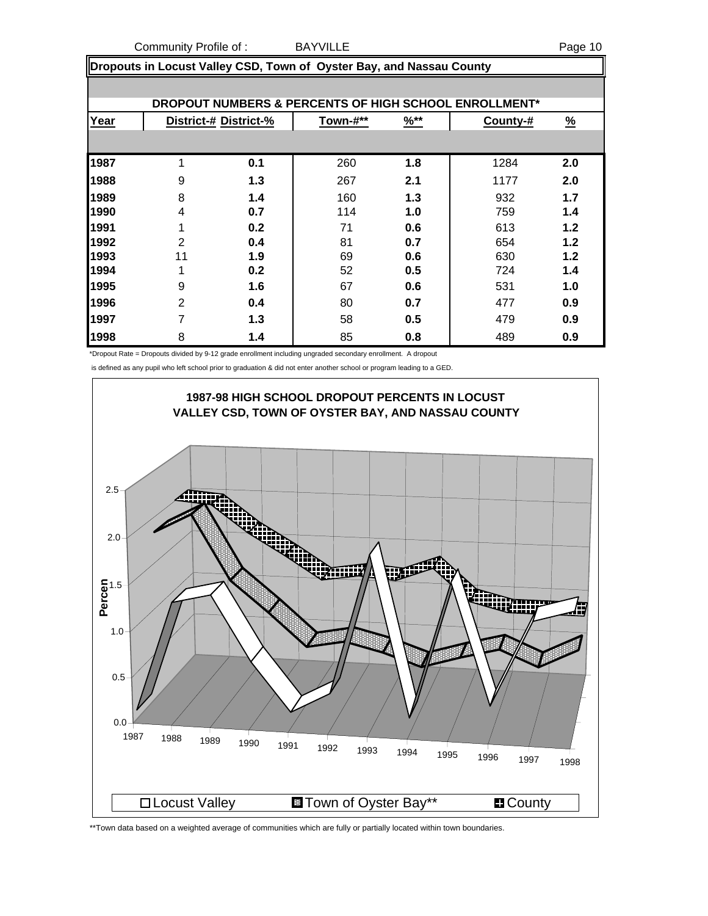Community Profile of : BAYVILLE Page 10

**Dropouts in Locust Valley CSD, Town of Oyster Bay, and Nassau County**

|      |                |                       |          |                  | DROPOUT NUMBERS & PERCENTS OF HIGH SCHOOL ENROLLMENT* |               |
|------|----------------|-----------------------|----------|------------------|-------------------------------------------------------|---------------|
| Year |                | District-# District-% | Town-#** | $\frac{9}{6}$ ** | County-#                                              | $\frac{9}{6}$ |
|      |                |                       |          |                  |                                                       |               |
| 1987 | 1              | 0.1                   | 260      | 1.8              | 1284                                                  | 2.0           |
| 1988 | 9              | 1.3                   | 267      | 2.1              | 1177                                                  | 2.0           |
| 1989 | 8              | 1.4                   | 160      | 1.3              | 932                                                   | 1.7           |
| 1990 | 4              | 0.7                   | 114      | 1.0              | 759                                                   | 1.4           |
| 1991 | 1              | 0.2                   | 71       | 0.6              | 613                                                   | 1.2           |
| 1992 | 2              | 0.4                   | 81       | 0.7              | 654                                                   | 1.2           |
| 1993 | 11             | 1.9                   | 69       | 0.6              | 630                                                   | 1.2           |
| 1994 | 1              | 0.2                   | 52       | 0.5              | 724                                                   | 1.4           |
| 1995 | 9              | 1.6                   | 67       | 0.6              | 531                                                   | 1.0           |
| 1996 | $\overline{2}$ | 0.4                   | 80       | 0.7              | 477                                                   | 0.9           |
| 1997 | 7              | 1.3                   | 58       | 0.5              | 479                                                   | 0.9           |
| 1998 | 8              | 1.4                   | 85       | 0.8              | 489                                                   | 0.9           |

\*Dropout Rate = Dropouts divided by 9-12 grade enrollment including ungraded secondary enrollment. A dropout

is defined as any pupil who left school prior to graduation & did not enter another school or program leading to a GED.



\*\*Town data based on a weighted average of communities which are fully or partially located within town boundaries.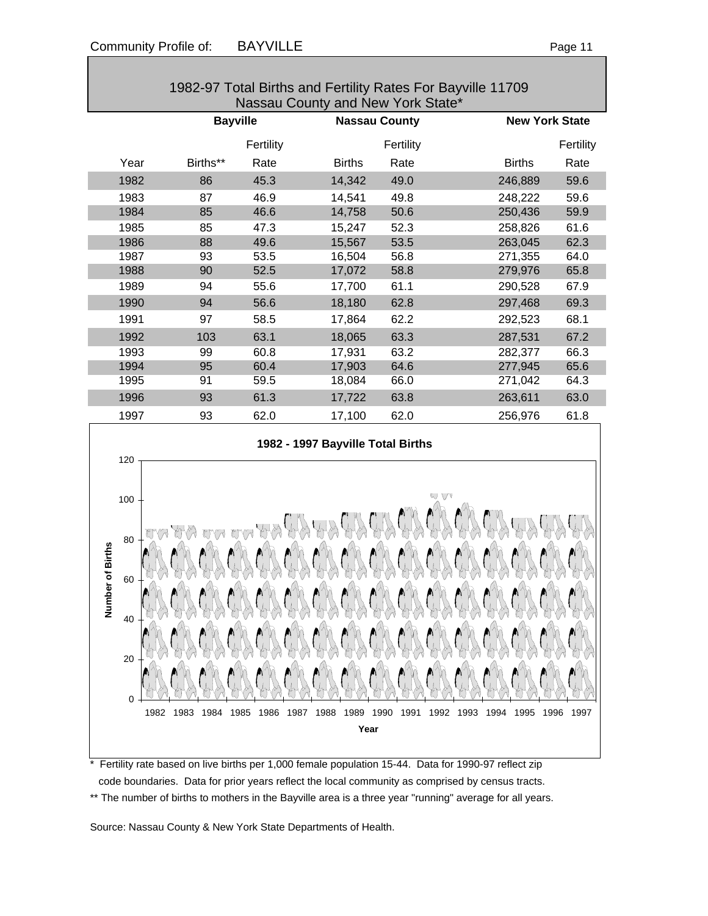| 1982-97 Total Births and Fertility Rates For Bayville 11709<br>Nassau County and New York State* |                 |           |                                  |           |                       |           |
|--------------------------------------------------------------------------------------------------|-----------------|-----------|----------------------------------|-----------|-----------------------|-----------|
|                                                                                                  | <b>Bayville</b> |           | <b>Nassau County</b>             |           | <b>New York State</b> |           |
|                                                                                                  |                 | Fertility |                                  | Fertility |                       | Fertility |
| Year                                                                                             | Births**        | Rate      | <b>Births</b>                    | Rate      | <b>Births</b>         | Rate      |
| 1982                                                                                             | 86              | 45.3      | 14,342                           | 49.0      | 246,889               | 59.6      |
| 1983                                                                                             | 87              | 46.9      | 14,541                           | 49.8      | 248,222               | 59.6      |
| 1984                                                                                             | 85              | 46.6      | 14,758                           | 50.6      | 250,436               | 59.9      |
| 1985                                                                                             | 85              | 47.3      | 15,247                           | 52.3      | 258,826               | 61.6      |
| 1986                                                                                             | 88              | 49.6      | 15,567                           | 53.5      | 263,045               | 62.3      |
| 1987                                                                                             | 93              | 53.5      | 16,504                           | 56.8      | 271,355               | 64.0      |
| 1988                                                                                             | 90              | 52.5      | 17,072                           | 58.8      | 279,976               | 65.8      |
| 1989                                                                                             | 94              | 55.6      | 17,700                           | 61.1      | 290,528               | 67.9      |
| 1990                                                                                             | 94              | 56.6      | 18,180                           | 62.8      | 297,468               | 69.3      |
| 1991                                                                                             | 97              | 58.5      | 17,864                           | 62.2      | 292,523               | 68.1      |
| 1992                                                                                             | 103             | 63.1      | 18,065                           | 63.3      | 287,531               | 67.2      |
| 1993                                                                                             | 99              | 60.8      | 17,931                           | 63.2      | 282,377               | 66.3      |
| 1994                                                                                             | 95              | 60.4      | 17,903                           | 64.6      | 277,945               | 65.6      |
| 1995                                                                                             | 91              | 59.5      | 18,084                           | 66.0      | 271,042               | 64.3      |
| 1996                                                                                             | 93              | 61.3      | 17,722                           | 63.8      | 263,611               | 63.0      |
| 1997                                                                                             | 93              | 62.0      | 17,100                           | 62.0      | 256,976               | 61.8      |
|                                                                                                  |                 |           | 1082 - 1007 Rawille Total Rirthe |           |                       |           |



Fertility rate based on live births per 1,000 female population 15-44. Data for 1990-97 reflect zip code boundaries. Data for prior years reflect the local community as comprised by census tracts. \*\* The number of births to mothers in the Bayville area is a three year "running" average for all years.

Source: Nassau County & New York State Departments of Health.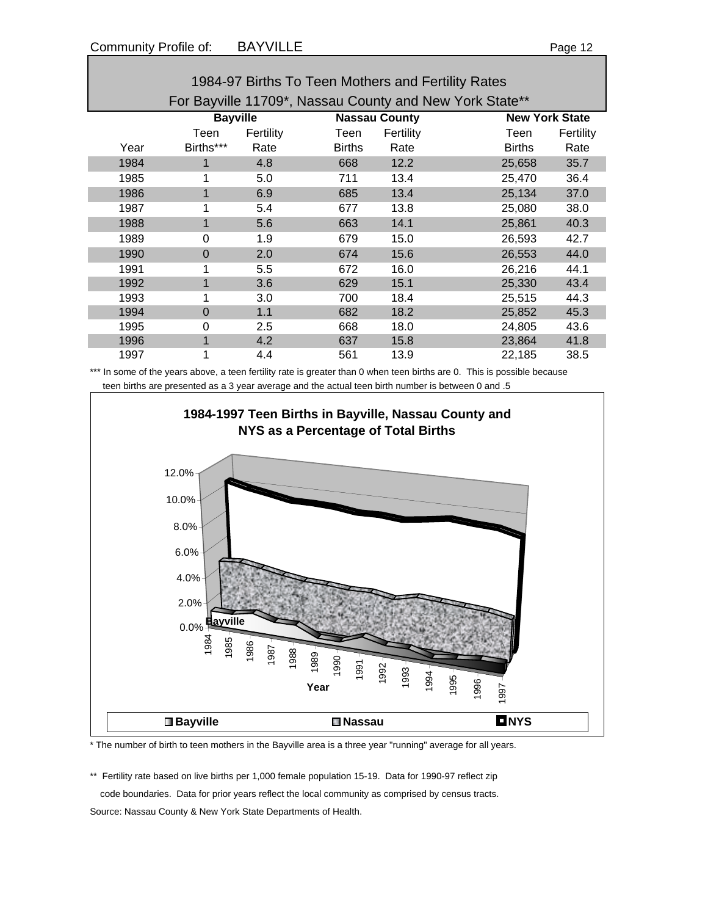| 1984-97 Births To Teen Mothers and Fertility Rates |                                                         |           |                      |           |                       |           |  |  |
|----------------------------------------------------|---------------------------------------------------------|-----------|----------------------|-----------|-----------------------|-----------|--|--|
|                                                    | For Bayville 11709*, Nassau County and New York State** |           |                      |           |                       |           |  |  |
|                                                    | <b>Bayville</b>                                         |           | <b>Nassau County</b> |           | <b>New York State</b> |           |  |  |
|                                                    | Teen                                                    | Fertility | Teen                 | Fertility | Teen                  | Fertility |  |  |
| Year                                               | Births***                                               | Rate      | <b>Births</b>        | Rate      | <b>Births</b>         | Rate      |  |  |
| 1984                                               |                                                         | 4.8       | 668                  | 12.2      | 25,658                | 35.7      |  |  |
| 1985                                               |                                                         | 5.0       | 711                  | 13.4      | 25,470                | 36.4      |  |  |
| 1986                                               |                                                         | 6.9       | 685                  | 13.4      | 25,134                | 37.0      |  |  |
| 1987                                               |                                                         | 5.4       | 677                  | 13.8      | 25,080                | 38.0      |  |  |
| 1988                                               |                                                         | 5.6       | 663                  | 14.1      | 25,861                | 40.3      |  |  |
| 1989                                               | 0                                                       | 1.9       | 679                  | 15.0      | 26,593                | 42.7      |  |  |
| 1990                                               | 0                                                       | 2.0       | 674                  | 15.6      | 26,553                | 44.0      |  |  |
| 1991                                               |                                                         | 5.5       | 672                  | 16.0      | 26,216                | 44.1      |  |  |
| 1992                                               |                                                         | 3.6       | 629                  | 15.1      | 25,330                | 43.4      |  |  |
| 1993                                               |                                                         | 3.0       | 700                  | 18.4      | 25,515                | 44.3      |  |  |
| 1994                                               | $\overline{0}$                                          | 1.1       | 682                  | 18.2      | 25,852                | 45.3      |  |  |
| 1995                                               | 0                                                       | 2.5       | 668                  | 18.0      | 24,805                | 43.6      |  |  |
| 1996                                               |                                                         | 4.2       | 637                  | 15.8      | 23,864                | 41.8      |  |  |
| 1997                                               |                                                         | 4.4       | 561                  | 13.9      | 22,185                | 38.5      |  |  |

\*\*\* In some of the years above, a teen fertility rate is greater than 0 when teen births are 0. This is possible because teen births are presented as a 3 year average and the actual teen birth number is between 0 and .5



\* The number of birth to teen mothers in the Bayville area is a three year "running" average for all years.

\*\* Fertility rate based on live births per 1,000 female population 15-19. Data for 1990-97 reflect zip code boundaries. Data for prior years reflect the local community as comprised by census tracts.